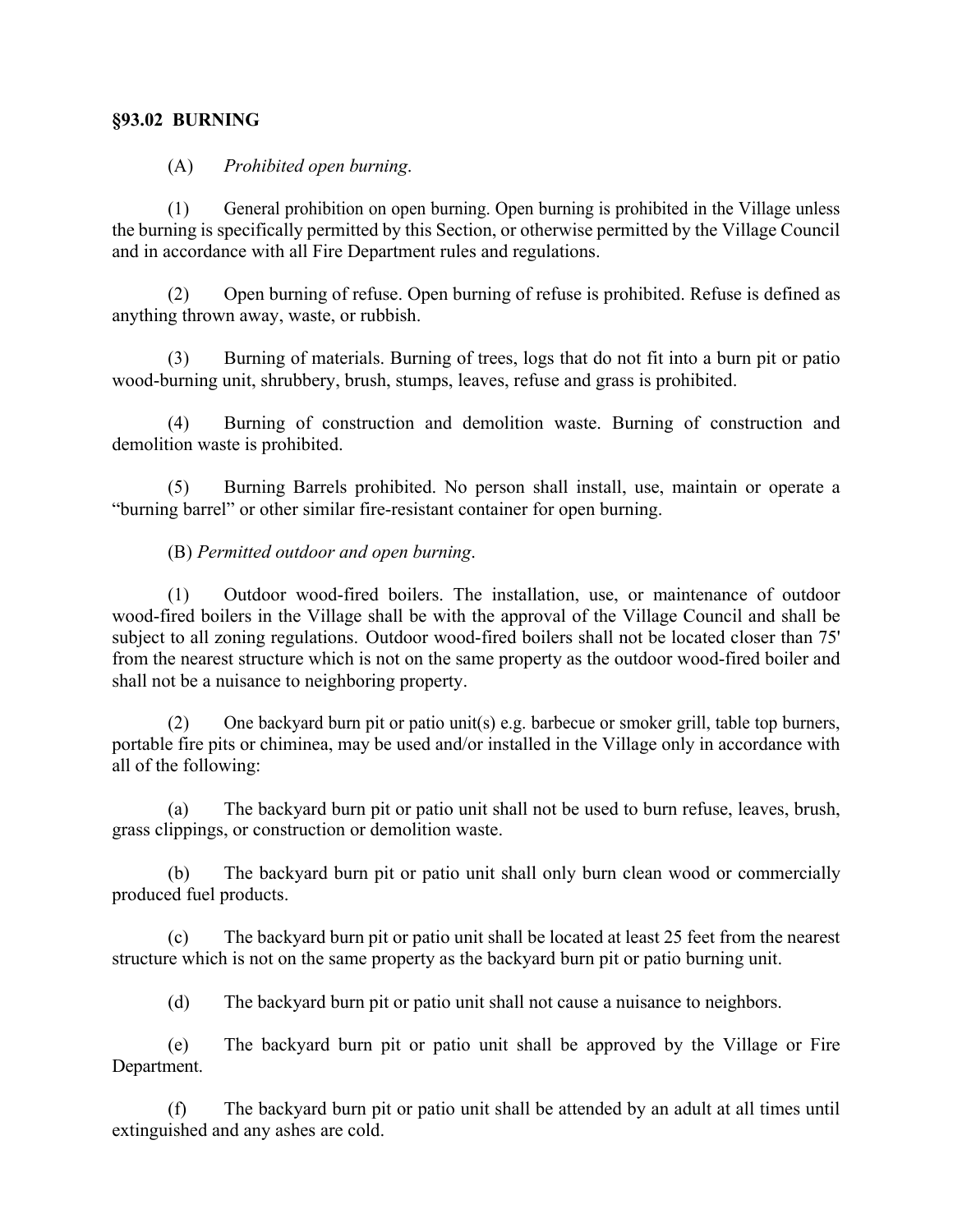## **§93.02 BURNING**

## (A) *Prohibited open burning*.

(1) General prohibition on open burning. Open burning is prohibited in the Village unless the burning is specifically permitted by this Section, or otherwise permitted by the Village Council and in accordance with all Fire Department rules and regulations.

(2) Open burning of refuse. Open burning of refuse is prohibited. Refuse is defined as anything thrown away, waste, or rubbish.

(3) Burning of materials. Burning of trees, logs that do not fit into a burn pit or patio wood-burning unit, shrubbery, brush, stumps, leaves, refuse and grass is prohibited.

(4) Burning of construction and demolition waste. Burning of construction and demolition waste is prohibited.

(5) Burning Barrels prohibited. No person shall install, use, maintain or operate a "burning barrel" or other similar fire-resistant container for open burning.

(B) *Permitted outdoor and open burning*.

(1) Outdoor wood-fired boilers. The installation, use, or maintenance of outdoor wood-fired boilers in the Village shall be with the approval of the Village Council and shall be subject to all zoning regulations. Outdoor wood-fired boilers shall not be located closer than 75' from the nearest structure which is not on the same property as the outdoor wood-fired boiler and shall not be a nuisance to neighboring property.

(2) One backyard burn pit or patio unit(s) e.g. barbecue or smoker grill, table top burners, portable fire pits or chiminea, may be used and/or installed in the Village only in accordance with all of the following:

(a) The backyard burn pit or patio unit shall not be used to burn refuse, leaves, brush, grass clippings, or construction or demolition waste.

(b) The backyard burn pit or patio unit shall only burn clean wood or commercially produced fuel products.

(c) The backyard burn pit or patio unit shall be located at least 25 feet from the nearest structure which is not on the same property as the backyard burn pit or patio burning unit.

(d) The backyard burn pit or patio unit shall not cause a nuisance to neighbors.

(e) The backyard burn pit or patio unit shall be approved by the Village or Fire Department.

(f) The backyard burn pit or patio unit shall be attended by an adult at all times until extinguished and any ashes are cold.